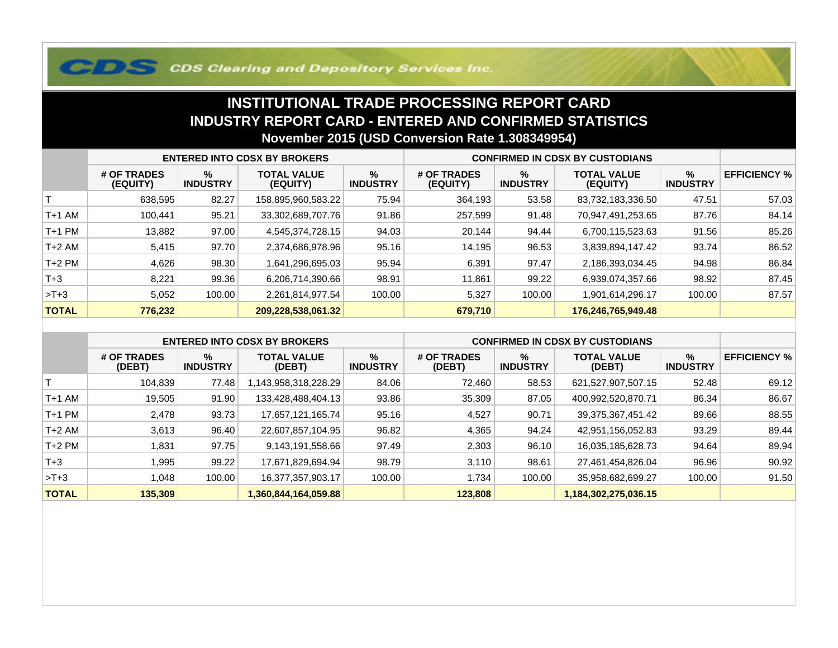## **COS Clearing and Depository Services Inc.**

## **INSTITUTIONAL TRADE PROCESSING REPORT CARD INDUSTRY REPORT CARD - ENTERED AND CONFIRMED STATISTICSNovember 2015 (USD Conversion Rate 1.308349954)**

|              | <b>ENTERED INTO CDSX BY BROKERS</b> |                         |                                |                         | <b>CONFIRMED IN CDSX BY CUSTODIANS</b> |                      |                                |                      |                     |
|--------------|-------------------------------------|-------------------------|--------------------------------|-------------------------|----------------------------------------|----------------------|--------------------------------|----------------------|---------------------|
|              | # OF TRADES<br>(EQUITY)             | $\%$<br><b>INDUSTRY</b> | <b>TOTAL VALUE</b><br>(EQUITY) | $\%$<br><b>INDUSTRY</b> | # OF TRADES<br>(EQUITY)                | %<br><b>INDUSTRY</b> | <b>TOTAL VALUE</b><br>(EQUITY) | %<br><b>INDUSTRY</b> | <b>EFFICIENCY %</b> |
|              | 638,595                             | 82.27                   | 158,895,960,583.22             | 75.94                   | 364,193                                | 53.58                | 83,732,183,336.50              | 47.51                | 57.03               |
| T+1 AM       | 100.441                             | 95.21                   | 33,302,689,707.76              | 91.86                   | 257,599                                | 91.48                | 70,947,491,253.65              | 87.76                | 84.14               |
| T+1 PM       | 13,882                              | 97.00                   | 4,545,374,728.15               | 94.03                   | 20,144                                 | 94.44                | 6,700,115,523.63               | 91.56                | 85.26               |
| T+2 AM       | 5,415                               | 97.70                   | 2,374,686,978.96               | 95.16                   | 14,195                                 | 96.53                | 3,839,894,147.42               | 93.74                | 86.52               |
| $T+2$ PM     | 4,626                               | 98.30                   | 1,641,296,695.03               | 95.94                   | 6,391                                  | 97.47                | 2,186,393,034.45               | 94.98                | 86.84               |
| $T+3$        | 8,221                               | 99.36                   | 6,206,714,390.66               | 98.91                   | 11,861                                 | 99.22                | 6,939,074,357.66               | 98.92                | 87.45               |
| $>T+3$       | 5,052                               | 100.00                  | 2,261,814,977.54               | 100.00                  | 5,327                                  | 100.00               | 1,901,614,296.17               | 100.00               | 87.57               |
| <b>TOTAL</b> | 776,232                             |                         | 209,228,538,061.32             |                         | 679,710                                |                      | 176,246,765,949.48             |                      |                     |

|              | <b>ENTERED INTO CDSX BY BROKERS</b> |                      |                              |                         | <b>CONFIRMED IN CDSX BY CUSTODIANS</b> |                      |                              |                      |                     |
|--------------|-------------------------------------|----------------------|------------------------------|-------------------------|----------------------------------------|----------------------|------------------------------|----------------------|---------------------|
|              | # OF TRADES<br>(DEBT)               | %<br><b>INDUSTRY</b> | <b>TOTAL VALUE</b><br>(DEBT) | $\%$<br><b>INDUSTRY</b> | # OF TRADES<br>(DEBT)                  | %<br><b>INDUSTRY</b> | <b>TOTAL VALUE</b><br>(DEBT) | %<br><b>INDUSTRY</b> | <b>EFFICIENCY %</b> |
|              | 104.839                             | 77.48                | ,143,958,318,228.29          | 84.06                   | 72,460                                 | 58.53                | 621,527,907,507.15           | 52.48                | 69.12               |
| $T+1$ AM     | 19,505                              | 91.90                | 133,428,488,404.13           | 93.86                   | 35,309                                 | 87.05                | 400,992,520,870.71           | 86.34                | 86.67               |
| $T+1$ PM     | 2.478                               | 93.73                | 17.657.121.165.74            | 95.16                   | 4,527                                  | 90.71                | 39,375,367,451.42            | 89.66                | 88.55               |
| $T+2$ AM     | 3,613                               | 96.40                | 22,607,857,104.95            | 96.82                   | 4,365                                  | 94.24                | 42,951,156,052.83            | 93.29                | 89.44               |
| $T+2$ PM     | 1,831                               | 97.75                | 9,143,191,558.66             | 97.49                   | 2,303                                  | 96.10                | 16,035,185,628.73            | 94.64                | 89.94               |
| $T+3$        | 995. ا                              | 99.22                | 17,671,829,694.94            | 98.79                   | 3,110                                  | 98.61                | 27,461,454,826.04            | 96.96                | 90.92               |
| $>T+3$       | 1.048                               | 100.00               | 16,377,357,903.17            | 100.00                  | 1,734                                  | 100.00               | 35,958,682,699.27            | 100.00               | 91.50               |
| <b>TOTAL</b> | 135,309                             |                      | 1,360,844,164,059.88         |                         | 123,808                                |                      | 1,184,302,275,036.15         |                      |                     |